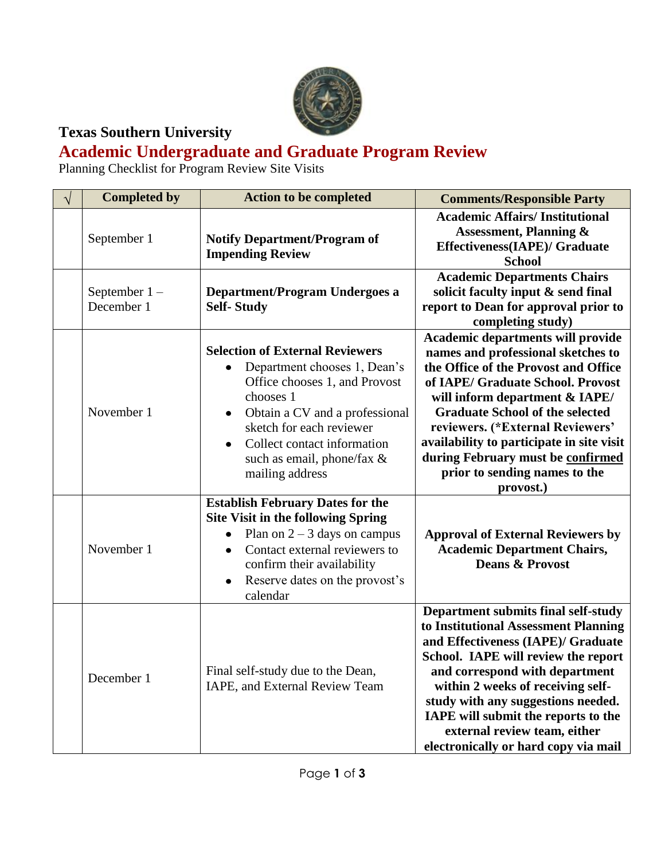

## **Texas Southern University**

## **Academic Undergraduate and Graduate Program Review**

Planning Checklist for Program Review Site Visits

| $\sqrt{}$ | <b>Completed by</b>           | <b>Action to be completed</b>                                                                                                                                                                                                                                                   | <b>Comments/Responsible Party</b>                                                                                                                                                                                                                                                                                                                                                                    |
|-----------|-------------------------------|---------------------------------------------------------------------------------------------------------------------------------------------------------------------------------------------------------------------------------------------------------------------------------|------------------------------------------------------------------------------------------------------------------------------------------------------------------------------------------------------------------------------------------------------------------------------------------------------------------------------------------------------------------------------------------------------|
|           | September 1                   | <b>Notify Department/Program of</b><br><b>Impending Review</b>                                                                                                                                                                                                                  | <b>Academic Affairs/Institutional</b><br><b>Assessment, Planning &amp;</b><br><b>Effectiveness(IAPE)/ Graduate</b><br><b>School</b>                                                                                                                                                                                                                                                                  |
|           | September $1 -$<br>December 1 | <b>Department/Program Undergoes a</b><br><b>Self-Study</b>                                                                                                                                                                                                                      | <b>Academic Departments Chairs</b><br>solicit faculty input & send final<br>report to Dean for approval prior to<br>completing study)                                                                                                                                                                                                                                                                |
|           | November 1                    | <b>Selection of External Reviewers</b><br>Department chooses 1, Dean's<br>Office chooses 1, and Provost<br>chooses 1<br>Obtain a CV and a professional<br>sketch for each reviewer<br>Collect contact information<br>$\bullet$<br>such as email, phone/fax &<br>mailing address | Academic departments will provide<br>names and professional sketches to<br>the Office of the Provost and Office<br>of IAPE/ Graduate School. Provost<br>will inform department & IAPE/<br><b>Graduate School of the selected</b><br>reviewers. (*External Reviewers'<br>availability to participate in site visit<br>during February must be confirmed<br>prior to sending names to the<br>provost.) |
|           | November 1                    | <b>Establish February Dates for the</b><br><b>Site Visit in the following Spring</b><br>Plan on $2 - 3$ days on campus<br>$\bullet$<br>Contact external reviewers to<br>$\bullet$<br>confirm their availability<br>Reserve dates on the provost's<br>$\bullet$<br>calendar      | <b>Approval of External Reviewers by</b><br><b>Academic Department Chairs,</b><br><b>Deans &amp; Provost</b>                                                                                                                                                                                                                                                                                         |
|           | December 1                    | Final self-study due to the Dean,<br>IAPE, and External Review Team                                                                                                                                                                                                             | Department submits final self-study<br>to Institutional Assessment Planning<br>and Effectiveness (IAPE)/ Graduate<br>School. IAPE will review the report<br>and correspond with department<br>within 2 weeks of receiving self-<br>study with any suggestions needed.<br>IAPE will submit the reports to the<br>external review team, either<br>electronically or hard copy via mail                 |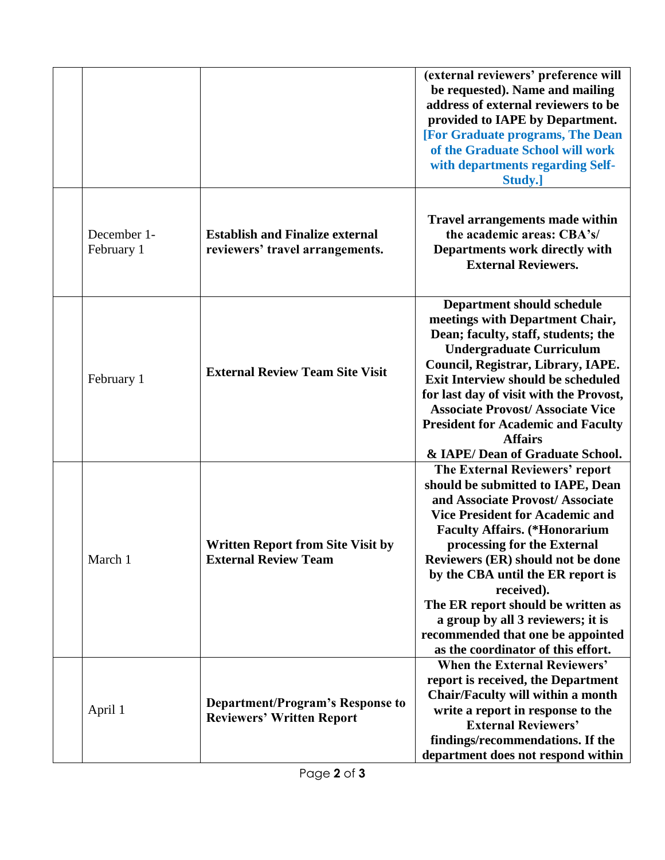|                           |                                                                             | (external reviewers' preference will<br>be requested). Name and mailing<br>address of external reviewers to be<br>provided to IAPE by Department.<br>[For Graduate programs, The Dean<br>of the Graduate School will work<br>with departments regarding Self-<br>Study.]                                                                                                                                                                                               |
|---------------------------|-----------------------------------------------------------------------------|------------------------------------------------------------------------------------------------------------------------------------------------------------------------------------------------------------------------------------------------------------------------------------------------------------------------------------------------------------------------------------------------------------------------------------------------------------------------|
| December 1-<br>February 1 | <b>Establish and Finalize external</b><br>reviewers' travel arrangements.   | <b>Travel arrangements made within</b><br>the academic areas: CBA's/<br>Departments work directly with<br><b>External Reviewers.</b>                                                                                                                                                                                                                                                                                                                                   |
| February 1                | <b>External Review Team Site Visit</b>                                      | <b>Department should schedule</b><br>meetings with Department Chair,<br>Dean; faculty, staff, students; the<br><b>Undergraduate Curriculum</b><br>Council, Registrar, Library, IAPE.<br><b>Exit Interview should be scheduled</b><br>for last day of visit with the Provost,<br><b>Associate Provost/ Associate Vice</b><br><b>President for Academic and Faculty</b><br><b>Affairs</b><br>& IAPE/ Dean of Graduate School.                                            |
| March 1                   | <b>Written Report from Site Visit by</b><br><b>External Review Team</b>     | The External Reviewers' report<br>should be submitted to IAPE, Dean<br>and Associate Provost/ Associate<br><b>Vice President for Academic and</b><br><b>Faculty Affairs.</b> (*Honorarium<br>processing for the External<br>Reviewers (ER) should not be done<br>by the CBA until the ER report is<br>received).<br>The ER report should be written as<br>a group by all 3 reviewers; it is<br>recommended that one be appointed<br>as the coordinator of this effort. |
| April 1                   | <b>Department/Program's Response to</b><br><b>Reviewers' Written Report</b> | <b>When the External Reviewers'</b><br>report is received, the Department<br>Chair/Faculty will within a month<br>write a report in response to the<br><b>External Reviewers'</b><br>findings/recommendations. If the<br>department does not respond within                                                                                                                                                                                                            |